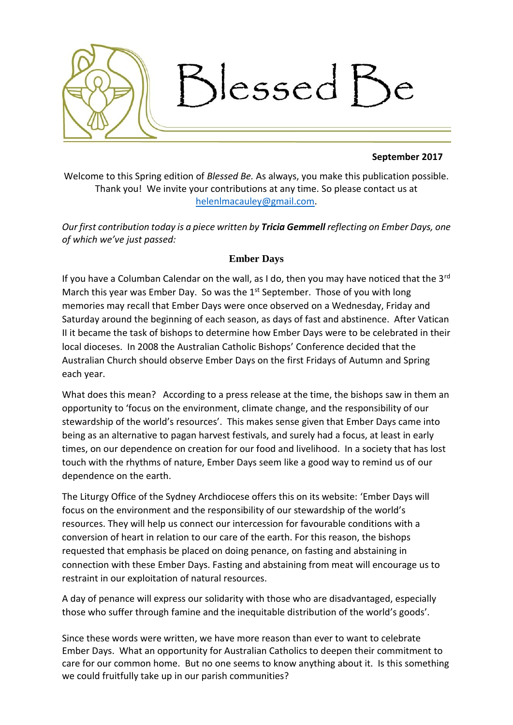

## **September 2017**

Welcome to this Spring edition of *Blessed Be.* As always, you make this publication possible. Thank you! We invite your contributions at any time. So please contact us at [helenlmacauley@gmail.com.](mailto:helenlmacauley@gmail.com)

*Our first contribution today is a piece written by Tricia Gemmell reflecting on Ember Days, one of which we've just passed:*

# **Ember Days**

If you have a Columban Calendar on the wall, as I do, then you may have noticed that the  $3<sup>rd</sup>$ March this year was Ember Day. So was the  $1<sup>st</sup>$  September. Those of you with long memories may recall that Ember Days were once observed on a Wednesday, Friday and Saturday around the beginning of each season, as days of fast and abstinence. After Vatican II it became the task of bishops to determine how Ember Days were to be celebrated in their local dioceses. In 2008 the Australian Catholic Bishops' Conference decided that the Australian Church should observe Ember Days on the first Fridays of Autumn and Spring each year.

What does this mean? According to a press release at the time, the bishops saw in them an opportunity to 'focus on the environment, climate change, and the responsibility of our stewardship of the world's resources'. This makes sense given that Ember Days came into being as an alternative to pagan harvest festivals, and surely had a focus, at least in early times, on our dependence on creation for our food and livelihood. In a society that has lost touch with the rhythms of nature, Ember Days seem like a good way to remind us of our dependence on the earth.

The Liturgy Office of the Sydney Archdiocese offers this on its website: 'Ember Days will focus on the environment and the responsibility of our stewardship of the world's resources. They will help us connect our intercession for favourable conditions with a conversion of heart in relation to our care of the earth. For this reason, the bishops requested that emphasis be placed on doing penance, on fasting and abstaining in connection with these Ember Days. Fasting and abstaining from meat will encourage us to restraint in our exploitation of natural resources.

A day of penance will express our solidarity with those who are disadvantaged, especially those who suffer through famine and the inequitable distribution of the world's goods'.

Since these words were written, we have more reason than ever to want to celebrate Ember Days. What an opportunity for Australian Catholics to deepen their commitment to care for our common home. But no one seems to know anything about it. Is this something we could fruitfully take up in our parish communities?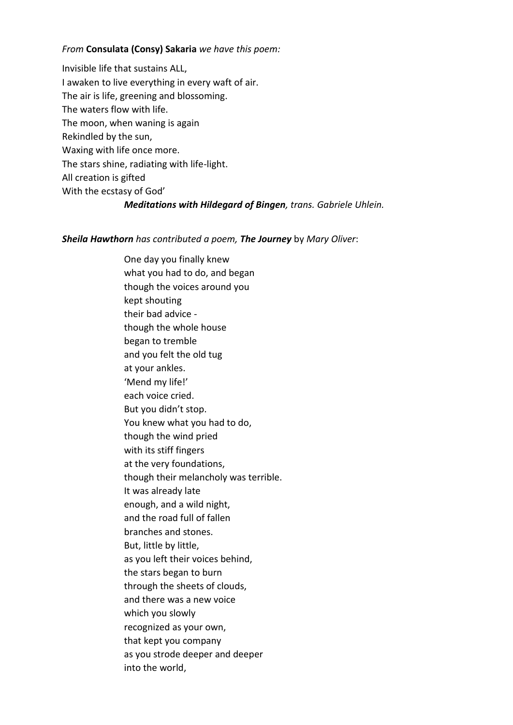### *From* **Consulata (Consy) Sakaria** *we have this poem:*

Invisible life that sustains ALL, I awaken to live everything in every waft of air. The air is life, greening and blossoming. The waters flow with life. The moon, when waning is again Rekindled by the sun, Waxing with life once more. The stars shine, radiating with life-light. All creation is gifted With the ecstasy of God' *Meditations with Hildegard of Bingen, trans. Gabriele Uhlein.*

#### *Sheila Hawthorn has contributed a poem, The Journey* by *Mary Oliver*:

One day you finally knew what you had to do, and began though the voices around you kept shouting their bad advice though the whole house began to tremble and you felt the old tug at your ankles. 'Mend my life!' each voice cried. But you didn't stop. You knew what you had to do, though the wind pried with its stiff fingers at the very foundations, though their melancholy was terrible. It was already late enough, and a wild night, and the road full of fallen branches and stones. But, little by little, as you left their voices behind, the stars began to burn through the sheets of clouds, and there was a new voice which you slowly recognized as your own, that kept you company as you strode deeper and deeper into the world,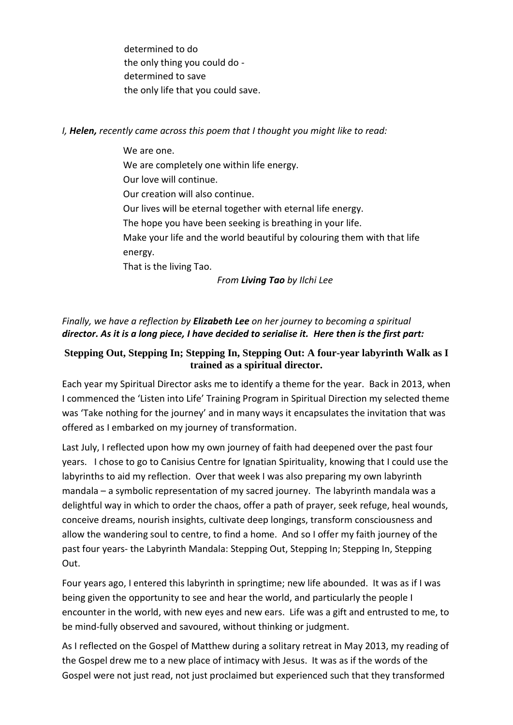determined to do the only thing you could do determined to save the only life that you could save.

*I, Helen, recently came across this poem that I thought you might like to read:*

We are one. We are completely one within life energy. Our love will continue. Our creation will also continue. Our lives will be eternal together with eternal life energy. The hope you have been seeking is breathing in your life. Make your life and the world beautiful by colouring them with that life energy. That is the living Tao. *From Living Tao by Ilchi Lee*

*Finally, we have a reflection by Elizabeth Lee on her journey to becoming a spiritual director. As it is a long piece, I have decided to serialise it. Here then is the first part:* 

# **Stepping Out, Stepping In; Stepping In, Stepping Out: A four-year labyrinth Walk as I trained as a spiritual director.**

Each year my Spiritual Director asks me to identify a theme for the year. Back in 2013, when I commenced the 'Listen into Life' Training Program in Spiritual Direction my selected theme was 'Take nothing for the journey' and in many ways it encapsulates the invitation that was offered as I embarked on my journey of transformation.

Last July, I reflected upon how my own journey of faith had deepened over the past four years. I chose to go to Canisius Centre for Ignatian Spirituality, knowing that I could use the labyrinths to aid my reflection. Over that week I was also preparing my own labyrinth mandala – a symbolic representation of my sacred journey. The labyrinth mandala was a delightful way in which to order the chaos, offer a path of prayer, seek refuge, heal wounds, conceive dreams, nourish insights, cultivate deep longings, transform consciousness and allow the wandering soul to centre, to find a home. And so I offer my faith journey of the past four years- the Labyrinth Mandala: Stepping Out, Stepping In; Stepping In, Stepping Out.

Four years ago, I entered this labyrinth in springtime; new life abounded. It was as if I was being given the opportunity to see and hear the world, and particularly the people I encounter in the world, with new eyes and new ears. Life was a gift and entrusted to me, to be mind-fully observed and savoured, without thinking or judgment.

As I reflected on the Gospel of Matthew during a solitary retreat in May 2013, my reading of the Gospel drew me to a new place of intimacy with Jesus. It was as if the words of the Gospel were not just read, not just proclaimed but experienced such that they transformed